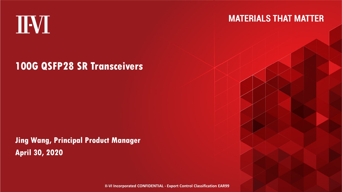# IVI

### **MATERIALS THAT MATTER**

### **100G QSFP28 SR Transceivers**

**Jing Wang, Principal Product ManagerApril 30, 2020**

**II-VI Incorporated CONFIDENTIAL - Export Control Classification EAR99**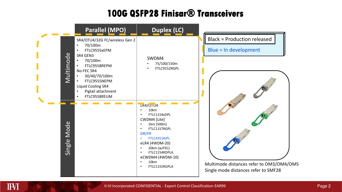### **100G QSFP28 Finisar® Transceivers**



IVI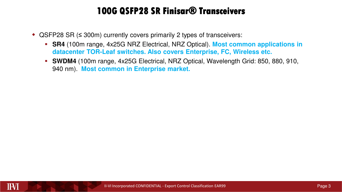### **100G QSFP28 SR Finisar® Transceivers**

- QSFP28 SR ( ≤ 300m) currently covers primarily 2 types of transceivers:
	- **SR4** (100m range, 4x25G NRZ Electrical, NRZ Optical). **Most common applications in datacenter TOR-Leaf switches. Also covers Enterprise, FC, Wireless etc.**
	- **SWDM4** (100m range, 4x25G Electrical, NRZ Optical, Wavelength Grid: 850, 880, 910, 940 nm). **Most common in Enterprise market.**

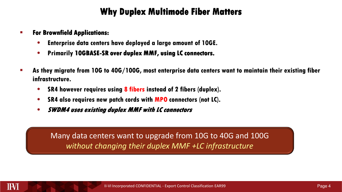### **Why Duplex Multimode Fiber Matters**

#### -**For Brownfield Applications:**

- **•Enterprise data centers have deployed a large amount of 10GE.**
- **•Primarily 10GBASE-SR over duplex MMF, using LC connectors.**
- **As they migrate from 10G to 40G/100G, most enterprise data centers want to maintain their existing fiber infrastructure.**
	- **•SR4 however requires using 8 fibers instead of 2 fibers (duplex).**
	- **•SR4 also requires new patch cords with MPO connectors (not LC).**
	- **•SWDM4 uses existing duplex MMF with LC connectors**

Many data centers want to upgrade from 10G to 40G and 100G *without changing their duplex MMF +LC infrastructure*

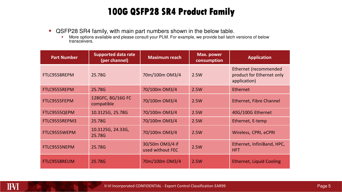### **100G QSFP28 SR4 Product Family**

- QSFP28 SR4 family, with main part numbers shown in the below table.
	- -More options available and please consult your PLM. For example, we provide bail latch versions of below transceivers.

| <b>Part Number</b> | <b>Supported data rate</b><br>(per channel) | <b>Maximum reach</b>                | Max. power<br>consumption | <b>Application</b>                                                 |  |
|--------------------|---------------------------------------------|-------------------------------------|---------------------------|--------------------------------------------------------------------|--|
| FTLC9558REPM       | 25.78G                                      | 70m/100m OM3/4                      | 2.5W                      | Ethernet (recommended<br>product for Ethernet only<br>application) |  |
| FTLC9555REPM       | 25.78G                                      | 70/100m OM3/4                       | 2.5W                      | Ethernet                                                           |  |
| FTLC9555FEPM       | 128GFC, 8G/16G FC<br>compatible             | 70/100m OM3/4                       | 2.5W                      | Ethernet, Fibre Channel                                            |  |
| FTLC9555QEPM       | 10.3125G, 25.78G                            | 70/100m OM3/4                       | 2.5W                      | 40G/100G Ethernet                                                  |  |
| FTLC9555REPM3      | 25.78G                                      | 70/100m OM3/4                       | 2.5W                      | Ethernet, E-temp                                                   |  |
| FTLC9555WEPM       | 10.3125G, 24.33G,<br>25.78G                 | 70/100m OM3/4                       | 2.5W                      | Wireless, CPRI, eCPRI                                              |  |
| FTLC9555NEPM       | 25.78G                                      | 30/50m OM3/4 if<br>used without FEC | 2.5W                      | Ethernet, InfiniBand, HPC,<br><b>HFT</b>                           |  |
| FTLC9558REUM       | 25.78G                                      | 70m/100m OM3/4                      | 2.5W                      | Ethernet, Liquid Cooling                                           |  |

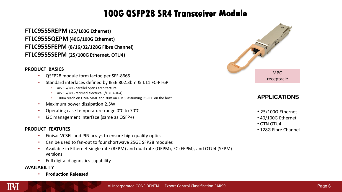### **100G QSFP28 SR4 Transceiver Module**

**FTLC9555REPM (25/100G Ethernet)FTLC9555QEPM (40G/100G Ethernet) FTLC9555FEPM (8/16/32/128G Fibre Channel) FTLC9555SEPM (25/100G Ethernet, OTU4)**

### **PRODUCT BASICS**

- QSFP28 module form factor, per SFF-8665•
- Standard interfaces defined by IEEE 802.3bm & T.11 FC-PI-6P•
	- 4x25G/28G parallel optics architecture
	- 4x25G/28G retimed electrical I/O (CAUI-4)
	- 100m reach on OM4 MMF and 70m on OM3, assuming RS-FEC on the host
- •Maximum power dissipation 2.5W
- Operating case temperature range 0°C to 70°C•
- I2C management interface (same as QSFP+)

### **PRODUCT FEATURES**

- Finisar VCSEL and PIN arrays to ensure high quality optics•
- •Can be used to fan-out to four shortwave 25GE SFP28 modules
- • Available in Ethernet single rate (REPM) and dual rate (QEPM), FC (FEPM), and OTU4 (SEPM) versions
- •Full digital diagnostics capability

#### **AVAILABILITY**

III-VI

 **Production Released**•



- 25/100G Ethernet
- 40/100G Ethernet
- OTN OTU4
- 128G Fibre Channel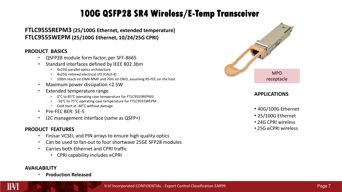### **100G QSFP28 SR4 Wireless/E- 100G QSFP28 Wireless/E-Temp Transceiver Temp Transceiver**

### **FTLC9555REPM3 (25/100G Ethernet, extended temperature)FTLC9555WEPM (25/100G Ethernet, 10/24/25G CPRI)**

### **PRODUCT BASICS**

- QSFP28 module form factor, per SFF-8665•
- Standard interfaces defined by IEEE 802.3bm•
	- 4x25G parallel optics architecture
	- 4x25G retimed electrical I/O (CAUI-4)
	- •100m reach on OM4 MMF and 70m on OM3, assuming RS-FEC on the host
- •Maximum power dissipation <2.5W
- • Extended temperature range
	- 0°C to 85°C operating case temperature for FTLC9555REPM3
	- -10°C to 75°C operating case temperature for FTLC9555WEPM•
	- Cold start at -40°C without damage
- •Pre-FEC BER: 5E-5
- I2C management interface (same as QSFP+) •

### **PRODUCT FEATURES**

- Finisar VCSEL and PIN arrays to ensure high quality optics•
- Can be used to fan-out to four shortwave 25GE SFP28 modules•
- • Carries both Ethernet and CPRI traffic
	- CPRI capability includes eCPRI

#### **AVAILABILITY**

II-V

 **Production Released**•



- 40G/100G Ethernet
- 25/100G Ethernet
- 24G CPRI wireless
- 25G eCPRI wireless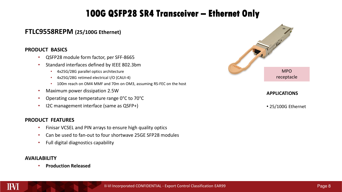## **100G QSFP28 SR4 Transceiver – 100G SR4 Transceiver – Ethernet Only Ethernet Only**

### **FTLC9558REPM (25/100G Ethernet)**

### **PRODUCT BASICS**

- •QSFP28 module form factor, per SFF-8665
- • Standard interfaces defined by IEEE 802.3bm
	- 4x25G/28G parallel optics architecture
	- 4x25G/28G retimed electrical I/O (CAUI-4)
	- 100m reach on OM4 MMF and 70m on OM3, assuming RS-FEC on the host
- •Maximum power dissipation 2.5W
- Operating case temperature range 0°C to 70°C•
- •I2C management interface (same as QSFP+)

#### **PRODUCT FEATURES**

- •Finisar VCSEL and PIN arrays to ensure high quality optics
- •Can be used to fan-out to four shortwave 25GE SFP28 modules
- •Full digital diagnostics capability

### **AVAILABILITY**

•**Production Released**



• 25/100G Ethernet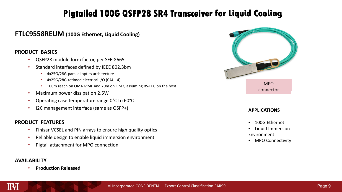### **Pigtailed 100G QSFP28 SR4 Transceiver for Liquid Cooling**

### **FTLC9558REUM (100G Ethernet, Liquid Cooling)**

#### **PRODUCT BASICS**

- •QSFP28 module form factor, per SFF-8665
- • Standard interfaces defined by IEEE 802.3bm
	- 4x25G/28G parallel optics architecture
	- 4x25G/28G retimed electrical I/O (CAUI-4)
	- 100m reach on OM4 MMF and 70m on OM3, assuming RS-FEC on the host
- •Maximum power dissipation 2.5W
- Operating case temperature range 0°C to 60°C•
- •I2C management interface (same as QSFP+)

### **PRODUCT FEATURES**

- •Finisar VCSEL and PIN arrays to ensure high quality optics
- •Reliable design to enable liquid immersion environment
- •Pigtail attachment for MPO connection

### **AVAILABILITY**

III-VI

 **Production Released**•



- •100G Ethernet
- • Liquid Immersion Environment
- MPO Connectivity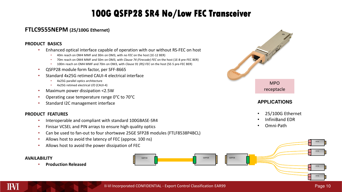### **100G QSFP28 SR4 No/Low FEC Transceiver**

### **FTLC9555NEPM (25/100G Ethernet)**

#### **PRODUCT BASICS**

- Enhanced optical interface capable of operation with our without RS-FEC on host •
	- •40m reach on OM4 MMF and 30m on OM3, with *no FEC* on the host (1E-12 BER)
	- 70m reach on OM4 MMF and 50m on OM3, with *Clause 74 (Firecode) FEC* on the host (1E-8 pre-FEC BER)
	- 100m reach on OM4 MMF and 70m on OM3, with *Clause 91 (RS) FEC* on the host (5E-5 pre-FEC BER)
- •QSFP28 module form factor, per SFF-8665
- Standard 4x25G retimed CAUI-4 electrical interface•
	- •4x25G parallel optics architecture
	- 4x25G retimed electrical I/O (CAUI-4)
- •Maximum power dissipation <2.5W
- Operating case temperature range 0°C to 70°C•
- Standard I2C management interface

#### **PRODUCT FEATURES**

- Interoperable and compliant with standard 100GBASE-SR4•
- Finisar VCSEL and PIN arrays to ensure high quality optics•
- Can be used to fan-out to four shortwave 25GE SFP28 modules (FTLF8538P4BCL) •
- •Allows host to avoid the latency of FEC (approx. 100 ns)
- •Allows host to avoid the power dissipation of FEC

#### **AVAILABILITY**

**Production Released**



- •25/100G Ethernet
- •InfiniBand EDR
- •Omni-Path

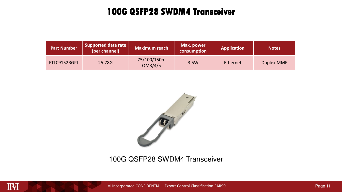### **100G QSFP28 SWDM4 Transceiver**

| <b>Part Number</b> | Supported data rate<br>(per channel) | <b>Maximum reach</b>   | Max. power<br>consumption | <b>Application</b> | <b>Notes</b> |
|--------------------|--------------------------------------|------------------------|---------------------------|--------------------|--------------|
| FTLC9152RGPL       | 25.78G                               | 75/100/150m<br>OM3/4/5 | 3.5W                      | Ethernet           | Duplex MMF   |



### 100G QSFP28 SWDM4 Transceiver

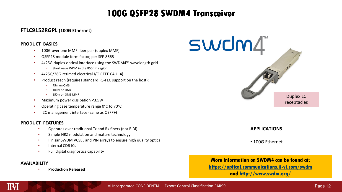### **100G QSFP28 SWDM4 Transceiver**

### **FTLC9152RGPL (100G Ethernet)**

#### **PRODUCT BASICS**

- 100G over one MMF fiber pair (duplex MMF) •
- •QSFP28 module form factor, per SFF-8665
- • 4x25G duplex optical interface using the SWDM4™ wavelength grid
	- Shortwave WDM in the 850nm region
- 4x25G/28G retimed electrical I/O (IEEE CAUI-4) •
- • Product reach (requires standard RS-FEC support on the host):
	- •75m on OM3
	- 100m on OM4 •
	- 150m on OM5 MMF •
- •Maximum power dissipation <3.5W
- Operating case temperature range 0°C to 70°C•
- •I2C management interface (same as QSFP+)

#### **PRODUCT FEATURES**

- Operates over traditional Tx and Rx fibers (not BiDi) •
- •Simple NRZ modulation and mature technology
- Finisar SWDM VCSEL and PIN arrays to ensure high quality optics•
- •Internal CDR ICs
- •Full digital diagnostics capability

#### **AVAILABILITY**

III-VI

•**Production Released**



#### **APPLICATIONS**

• 100G Ethernet

**More information on SWDM4 can be found at:**

**https://optical.communications.ii-vi.com/swdm**

**and http://www.swdm.org/**